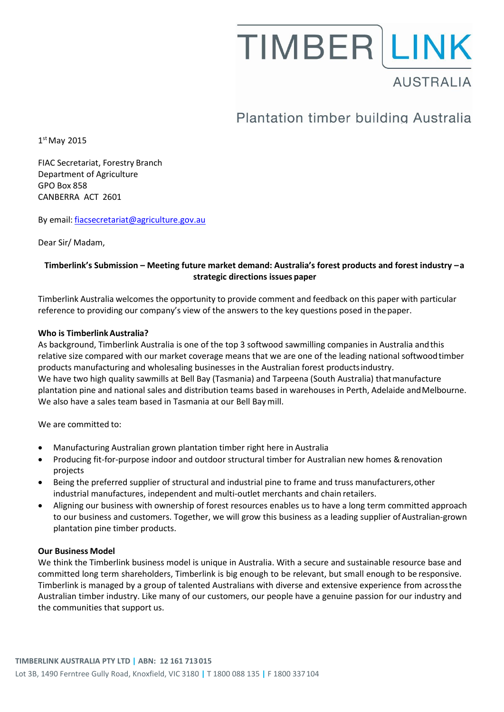# **TIMBER LINK AUSTRALIA**

# Plantation timber building Australia

1 st May 2015

FIAC Secretariat, Forestry Branch Department of Agriculture GPO Box 858 CANBERRA ACT 2601

By email: [fiacsecretariat@agriculture.gov.au](mailto:fiacsecretariat@agriculture.gov.au)

Dear Sir/ Madam,

### **Timberlink's Submission – Meeting future market demand: Australia's forest products and forest industry –a strategic directions issues paper**

Timberlink Australia welcomes the opportunity to provide comment and feedback on this paper with particular reference to providing our company's view of the answers to the key questions posed in the paper.

#### **Who is TimberlinkAustralia?**

As background, Timberlink Australia is one of the top 3 softwood sawmilling companies in Australia andthis relative size compared with our market coverage means that we are one of the leading national softwoodtimber products manufacturing and wholesaling businesses in the Australian forest productsindustry. We have two high quality sawmills at Bell Bay (Tasmania) and Tarpeena (South Australia) thatmanufacture plantation pine and national sales and distribution teams based in warehouses in Perth, Adelaide andMelbourne. We also have a sales team based in Tasmania at our Bell Baymill.

We are committed to:

- Manufacturing Australian grown plantation timber right here in Australia
- Producing fit-for-purpose indoor and outdoor structural timber for Australian new homes & renovation projects
- Being the preferred supplier of structural and industrial pine to frame and truss manufacturers,other industrial manufactures, independent and multi-outlet merchants and chain retailers.
- Aligning our business with ownership of forest resources enables us to have a long term committed approach to our business and customers. Together, we will grow this business as a leading supplier of Australian-grown plantation pine timber products.

#### **Our Business Model**

We think the Timberlink business model is unique in Australia. With a secure and sustainable resource base and committed long term shareholders, Timberlink is big enough to be relevant, but small enough to be responsive. Timberlink is managed by a group of talented Australians with diverse and extensive experience from acrossthe Australian timber industry. Like many of our customers, our people have a genuine passion for our industry and the communities that support us.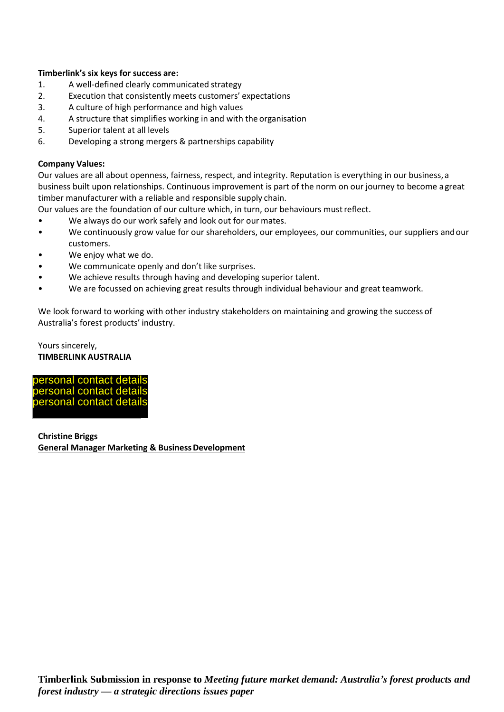#### **Timberlink's six keys for success are:**

- 1. A well-defined clearly communicated strategy
- 2. Execution that consistently meets customers' expectations
- 3. A culture of high performance and high values
- 4. A structure that simplifies working in and with the organisation
- 5. Superior talent at all levels
- 6. Developing a strong mergers & partnerships capability

#### **Company Values:**

Our values are all about openness, fairness, respect, and integrity. Reputation is everything in our business, a business built upon relationships. Continuous improvement is part of the norm on our journey to become a great timber manufacturer with a reliable and responsible supply chain.

Our values are the foundation of our culture which, in turn, our behaviours must reflect.

- We always do our work safely and look out for our mates.
- We continuously grow value for our shareholders, our employees, our communities, our suppliers and our customers.
- We enjoy what we do.
- We communicate openly and don't like surprises.
- We achieve results through having and developing superior talent.
- We are focussed on achieving great results through individual behaviour and great teamwork.

We look forward to working with other industry stakeholders on maintaining and growing the success of Australia's forest products' industry.

#### Yours sincerely, **TIMBERLINK AUSTRALIA**

personal contact details personal contact details personal contact details

**Christine Briggs General Manager Marketing & Business Development**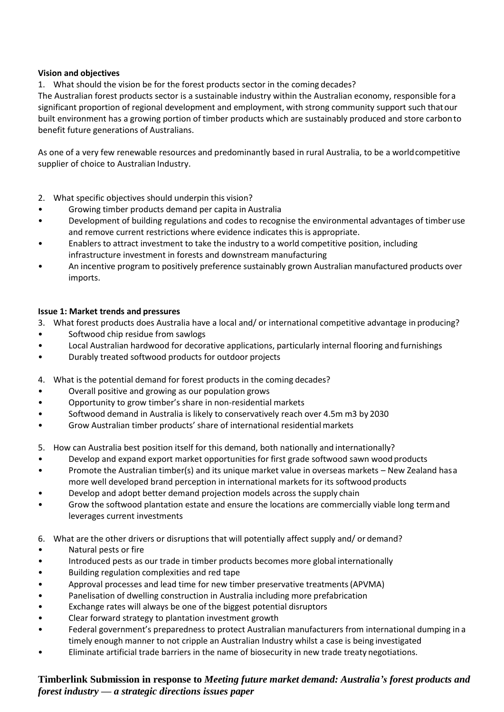#### **Vision and objectives**

1. What should the vision be for the forest products sector in the coming decades?

The Australian forest products sector is a sustainable industry within the Australian economy, responsible fora significant proportion of regional development and employment, with strong community support such thatour built environment has a growing portion of timber products which are sustainably produced and store carbonto benefit future generations of Australians.

As one of a very few renewable resources and predominantly based in rural Australia, to be a worldcompetitive supplier of choice to Australian Industry.

- 2. What specific objectives should underpin this vision?
- Growing timber products demand per capita in Australia
- Development of building regulations and codes to recognise the environmental advantages of timber use and remove current restrictions where evidence indicates this is appropriate.
- Enablers to attract investment to take the industry to a world competitive position, including infrastructure investment in forests and downstream manufacturing
- An incentive program to positively preference sustainably grown Australian manufactured products over imports.

#### **Issue 1: Market trends and pressures**

- 3. What forest products does Australia have a local and/ or international competitive advantage in producing?
- Softwood chip residue from sawlogs
- Local Australian hardwood for decorative applications, particularly internal flooring and furnishings
- Durably treated softwood products for outdoor projects
- 4. What is the potential demand for forest products in the coming decades?
- Overall positive and growing as our population grows
- Opportunity to grow timber's share in non-residential markets
- Softwood demand in Australia is likely to conservatively reach over 4.5m m3 by 2030
- Grow Australian timber products' share of international residential markets
- 5. How can Australia best position itself for this demand, both nationally and internationally?
- Develop and expand export market opportunities for first grade softwood sawn wood products
- Promote the Australian timber(s) and its unique market value in overseas markets New Zealand hasa more well developed brand perception in international markets for its softwood products
- Develop and adopt better demand projection models across the supply chain
- Grow the softwood plantation estate and ensure the locations are commercially viable long termand leverages current investments
- 6. What are the other drivers or disruptions that will potentially affect supply and/ or demand?
- Natural pests or fire
- Introduced pests as our trade in timber products becomes more global internationally
- Building regulation complexities and red tape
- Approval processes and lead time for new timber preservative treatments(APVMA)
- Panelisation of dwelling construction in Australia including more prefabrication
- Exchange rates will always be one of the biggest potential disruptors
- Clear forward strategy to plantation investment growth
- Federal government's preparedness to protect Australian manufacturers from international dumping in a timely enough manner to not cripple an Australian Industry whilst a case is being investigated
- Eliminate artificial trade barriers in the name of biosecurity in new trade treaty negotiations.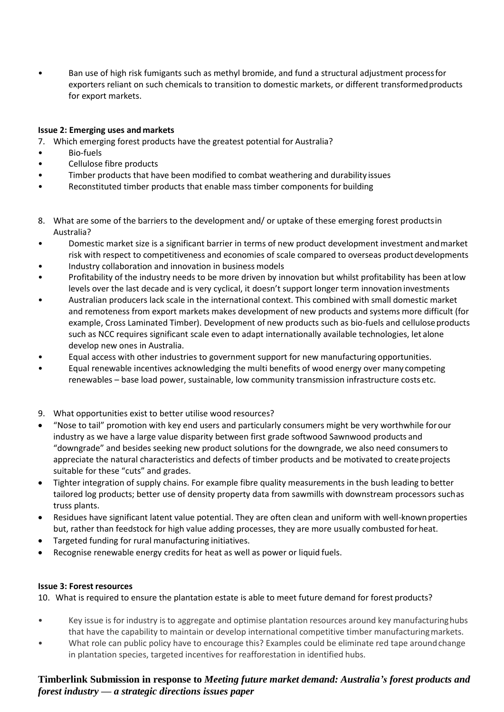• Ban use of high risk fumigants such as methyl bromide, and fund a structural adjustment processfor exporters reliant on such chemicals to transition to domestic markets, or different transformedproducts for export markets.

#### **Issue 2: Emerging uses and markets**

- 7. Which emerging forest products have the greatest potential for Australia?
- Bio-fuels
- Cellulose fibre products
- Timber products that have been modified to combat weathering and durability issues
- Reconstituted timber products that enable mass timber components for building
- 8. What are some of the barriers to the development and/ or uptake of these emerging forest productsin Australia?
- Domestic market size is a significant barrier in terms of new product development investment andmarket risk with respect to competitiveness and economies of scale compared to overseas productdevelopments
- Industry collaboration and innovation in business models
- Profitability of the industry needs to be more driven by innovation but whilst profitability has been atlow levels over the last decade and is very cyclical, it doesn't support longer term innovation investments
- Australian producers lack scale in the international context. This combined with small domestic market and remoteness from export markets makes development of new products and systems more difficult (for example, Cross Laminated Timber). Development of new products such as bio-fuels and cellulose products such as NCC requires significant scale even to adapt internationally available technologies, let alone develop new ones in Australia.
- Equal access with other industries to government support for new manufacturing opportunities.
- Equal renewable incentives acknowledging the multi benefits of wood energy over many competing renewables – base load power, sustainable, low community transmission infrastructure costs etc.

#### 9. What opportunities exist to better utilise wood resources?

- "Nose to tail" promotion with key end users and particularly consumers might be very worthwhile forour industry as we have a large value disparity between first grade softwood Sawnwood products and "downgrade" and besides seeking new product solutions for the downgrade, we also need consumersto appreciate the natural characteristics and defects of timber products and be motivated to create projects suitable for these "cuts" and grades.
- Tighter integration of supply chains. For example fibre quality measurements in the bush leading to better tailored log products; better use of density property data from sawmills with downstream processors suchas truss plants.
- Residues have significant latent value potential. They are often clean and uniform with well-knownproperties but, rather than feedstock for high value adding processes, they are more usually combusted forheat.
- Targeted funding for rural manufacturing initiatives.
- Recognise renewable energy credits for heat as well as power or liquid fuels.

#### **Issue 3: Forest resources**

10. What is required to ensure the plantation estate is able to meet future demand for forest products?

- Key issue is for industry is to aggregate and optimise plantation resources around key manufacturinghubs that have the capability to maintain or develop international competitive timber manufacturingmarkets.
- What role can public policy have to encourage this? Examples could be eliminate red tape around change in plantation species, targeted incentives for reafforestation in identified hubs.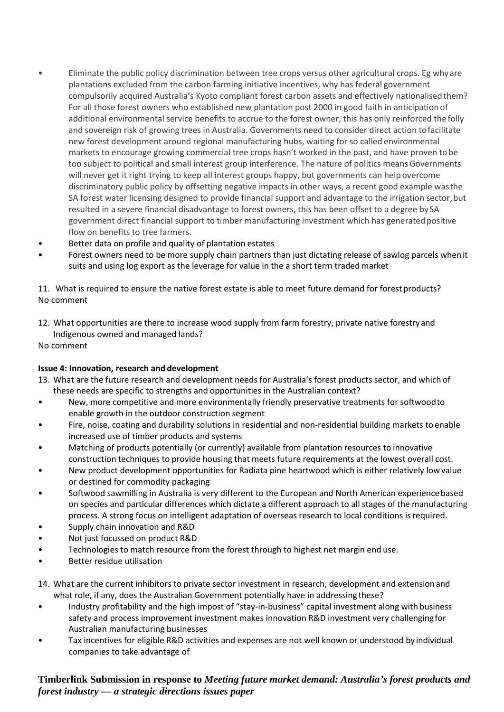- Eliminate the public policy discrimination between tree crops versus other agricultural crops. Eg why are plantations excluded from the carbon farming initiative incentives, why has federal government compulsorily acquired Australia's Kyoto compliant forest carbon assets and effectively nationalisedthem? For all those forest owners who established new plantation post 2000 in good faith in anticipation of additional environmental service benefits to accrue to the forest owner, this has only reinforced the folly and sovereign risk of growing trees in Australia. Governments need to consider direct action tofacilitate new forest development around regional manufacturing hubs, waiting for so called environmental markets to encourage growing commercial tree crops hasn't worked in the past, and have proven to be too subject to political and small interest group interference. The nature of politics means Governments will never get it right trying to keep all interest groups happy, but governments can help overcome discriminatory public policy by offsetting negative impacts in other ways, a recent good example wasthe SA forest water licensing designed to provide financial support and advantage to the irrigation sector, but resulted in a severe financial disadvantage to forest owners, this has been offset to a degree by SA government direct financial support to timber manufacturing investment which has generated positive flow on benefits to tree farmers.
- Better data on profile and quality of plantation estates
- Forest owners need to be more supply chain partners than just dictating release of sawlog parcels whenit suits and using log export as the leverage for value in the a short term traded market

11. What is required to ensure the native forest estate is able to meet future demand for forestproducts? No comment

12. What opportunities are there to increase wood supply from farm forestry, private native forestryand Indigenous owned and managed lands?

No comment

#### **Issue 4: Innovation, research and development**

- 13. What are the future research and development needs for Australia's forest products sector, and which of these needs are specific to strengths and opportunities in the Australian context?
- New, more competitive and more environmentally friendly preservative treatments for softwoodto enable growth in the outdoor construction segment
- Fire, noise, coating and durability solutions in residential and non-residential building markets to enable increased use of timber products and systems
- Matching of products potentially (or currently) available from plantation resources to innovative construction techniques to provide housing that meets future requirements at the lowest overall cost.
- New product development opportunities for Radiata pine heartwood which is either relatively lowvalue or destined for commodity packaging
- Softwood sawmilling in Australia is very different to the European and North American experience based on species and particular differences which dictate a different approach to all stages of the manufacturing process. A strong focus on intelligent adaptation of overseas research to local conditions isrequired.
- Supply chain innovation and R&D
- Not just focussed on product R&D
- Technologies to match resource from the forest through to highest net margin end use.
- Better residue utilisation
- 14. What are the current inhibitors to private sector investment in research, development and extensionand what role, if any, does the Australian Government potentially have in addressing these?
- Industry profitability and the high impost of "stay-in-business" capital investment along with business safety and process improvement investment makes innovation R&D investment very challengingfor Australian manufacturing businesses
- Tax incentives for eligible R&D activities and expenses are not well known or understood by individual companies to take advantage of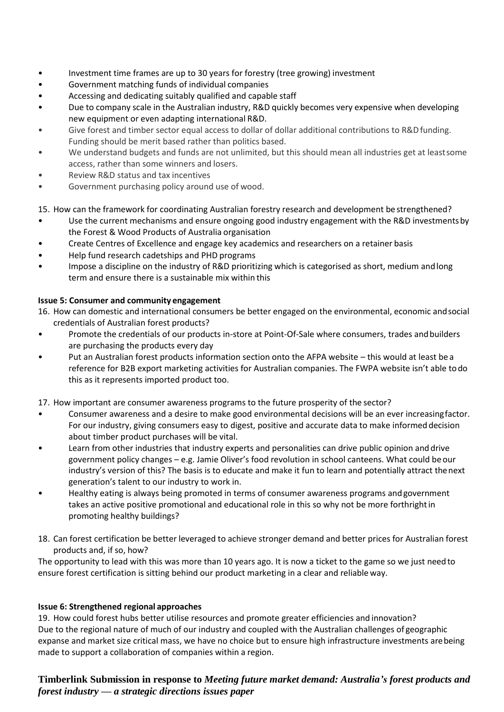- Investment time frames are up to 30 years for forestry (tree growing) investment
- Government matching funds of individual companies
- Accessing and dedicating suitably qualified and capable staff
- Due to company scale in the Australian industry, R&D quickly becomes very expensive when developing new equipment or even adapting international R&D.
- Give forest and timber sector equal access to dollar of dollar additional contributions to R&D funding. Funding should be merit based rather than politics based.
- We understand budgets and funds are not unlimited, but this should mean all industries get at leastsome access, rather than some winners and losers.
- Review R&D status and tax incentives
- Government purchasing policy around use of wood.

#### 15. How can the framework for coordinating Australian forestry research and development be strengthened?

- Use the current mechanisms and ensure ongoing good industry engagement with the R&D investments by the Forest & Wood Products of Australia organisation
- Create Centres of Excellence and engage key academics and researchers on a retainer basis
- Help fund research cadetships and PHD programs
- Impose a discipline on the industry of R&D prioritizing which is categorised as short, medium andlong term and ensure there is a sustainable mix within this

#### **Issue 5: Consumer and community engagement**

- 16. How can domestic and international consumers be better engaged on the environmental, economic andsocial credentials of Australian forest products?
- Promote the credentials of our products in-store at Point-Of-Sale where consumers, trades andbuilders are purchasing the products every day
- Put an Australian forest products information section onto the AFPA website this would at least be a reference for B2B export marketing activities for Australian companies. The FWPA website isn't able todo this as it represents imported product too.
- 17. How important are consumer awareness programs to the future prosperity of the sector?
- Consumer awareness and a desire to make good environmental decisions will be an ever increasingfactor. For our industry, giving consumers easy to digest, positive and accurate data to make informeddecision about timber product purchases will be vital.
- Learn from other industries that industry experts and personalities can drive public opinion anddrive government policy changes – e.g. Jamie Oliver's food revolution in school canteens. What could be our industry's version of this? The basis is to educate and make it fun to learn and potentially attract thenext generation's talent to our industry to work in.
- Healthy eating is always being promoted in terms of consumer awareness programs andgovernment takes an active positive promotional and educational role in this so why not be more forthrightin promoting healthy buildings?
- 18. Can forest certification be better leveraged to achieve stronger demand and better prices for Australian forest products and, if so, how?

The opportunity to lead with this was more than 10 years ago. It is now a ticket to the game so we just needto ensure forest certification is sitting behind our product marketing in a clear and reliable way.

#### **Issue 6: Strengthened regional approaches**

19. How could forest hubs better utilise resources and promote greater efficiencies and innovation? Due to the regional nature of much of our industry and coupled with the Australian challenges of geographic expanse and market size critical mass, we have no choice but to ensure high infrastructure investments arebeing made to support a collaboration of companies within a region.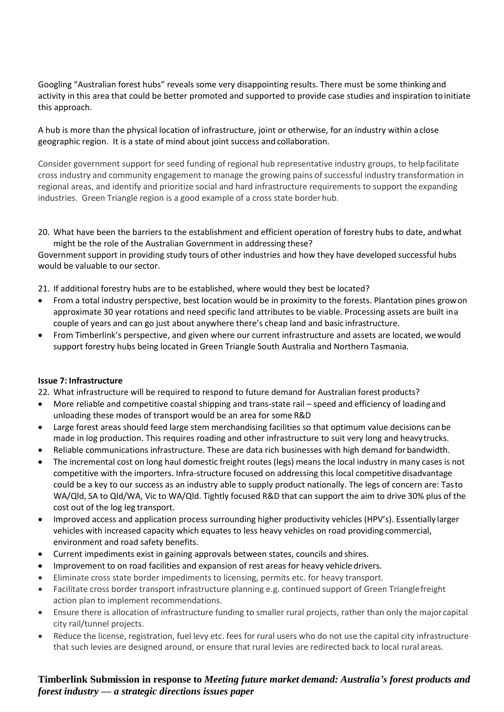Googling "Australian forest hubs" reveals some very disappointing results. There must be some thinking and activity in this area that could be better promoted and supported to provide case studies and inspiration toinitiate this approach.

A hub is more than the physical location of infrastructure, joint or otherwise, for an industry within aclose geographic region. It is a state of mind about joint success and collaboration.

Consider government support for seed funding of regional hub representative industry groups, to helpfacilitate cross industry and community engagement to manage the growing pains of successful industry transformation in regional areas, and identify and prioritize social and hard infrastructure requirements to support the expanding industries. Green Triangle region is a good example of a cross state borderhub.

20. What have been the barriers to the establishment and efficient operation of forestry hubs to date, andwhat might be the role of the Australian Government in addressing these?

Government support in providing study tours of other industries and how they have developed successful hubs would be valuable to our sector.

- 21. If additional forestry hubs are to be established, where would they best be located?
- From a total industry perspective, best location would be in proximity to the forests. Plantation pines growon approximate 30 year rotations and need specific land attributes to be viable. Processing assets are built ina couple of years and can go just about anywhere there's cheap land and basic infrastructure.
- From Timberlink's perspective, and given where our current infrastructure and assets are located, wewould support forestry hubs being located in Green Triangle South Australia and Northern Tasmania.

#### **Issue 7: Infrastructure**

- 22. What infrastructure will be required to respond to future demand for Australian forest products?
- More reliable and competitive coastal shipping and trans-state rail speed and efficiency of loadingand unloading these modes of transport would be an area for some R&D
- Large forest areas should feed large stem merchandising facilities so that optimum value decisions canbe made in log production. This requires roading and other infrastructure to suit very long and heavytrucks.
- Reliable communications infrastructure. These are data rich businesses with high demand forbandwidth.
- The incremental cost on long haul domestic freight routes (legs) means the local industry in many cases is not competitive with the importers. Infra-structure focused on addressing this local competitive disadvantage could be a key to our success as an industry able to supply product nationally. The legs of concern are: Tasto WA/Qld, SA to Qld/WA, Vic to WA/Qld. Tightly focused R&D that can support the aim to drive 30% plus of the cost out of the log leg transport.
- Improved access and application process surrounding higher productivity vehicles (HPV's). Essentially larger vehicles with increased capacity which equates to less heavy vehicles on road providing commercial, environment and road safety benefits.
- Current impediments exist in gaining approvals between states, councils and shires.
- Improvement to on road facilities and expansion of rest areas for heavy vehicle drivers.
- Eliminate cross state border impediments to licensing, permits etc. for heavy transport.
- Facilitate cross border transport infrastructure planning e.g. continued support of Green Trianglefreight action plan to implement recommendations.
- Ensure there is allocation of infrastructure funding to smaller rural projects, rather than only the major capital city rail/tunnel projects.
- Reduce the license, registration, fuel levy etc. fees for rural users who do not use the capital city infrastructure that such levies are designed around, or ensure that rural levies are redirected back to local rural areas.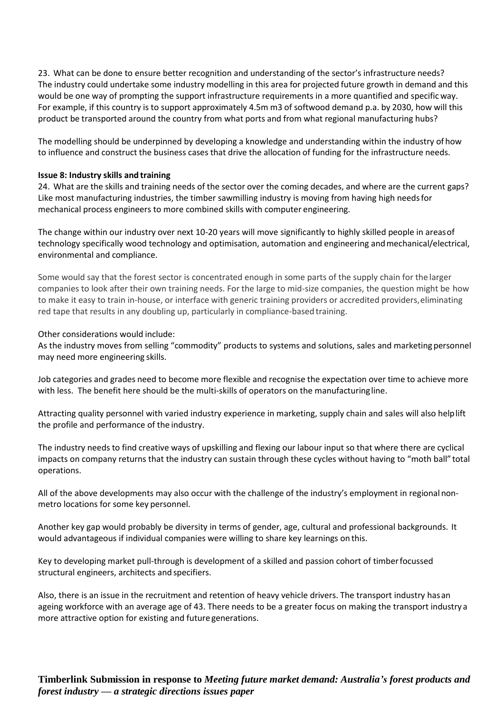23. What can be done to ensure better recognition and understanding of the sector's infrastructure needs? The industry could undertake some industry modelling in this area for projected future growth in demand and this would be one way of prompting the support infrastructure requirements in a more quantified and specific way. For example, if this country is to support approximately 4.5m m3 of softwood demand p.a. by 2030, how will this product be transported around the country from what ports and from what regional manufacturing hubs?

The modelling should be underpinned by developing a knowledge and understanding within the industry of how to influence and construct the business cases that drive the allocation of funding for the infrastructure needs.

#### **Issue 8: Industry skills and training**

24. What are the skills and training needs of the sector over the coming decades, and where are the current gaps? Like most manufacturing industries, the timber sawmilling industry is moving from having high needsfor mechanical process engineers to more combined skills with computer engineering.

The change within our industry over next 10-20 years will move significantly to highly skilled people in areasof technology specifically wood technology and optimisation, automation and engineering andmechanical/electrical, environmental and compliance.

Some would say that the forest sector is concentrated enough in some parts of the supply chain for the larger companies to look after their own training needs. For the large to mid-size companies, the question might be how to make it easy to train in-house, or interface with generic training providers or accredited providers, eliminating red tape that results in any doubling up, particularly in compliance-based training.

#### Other considerations would include:

As the industry moves from selling "commodity" products to systems and solutions, sales and marketing personnel may need more engineering skills.

Job categories and grades need to become more flexible and recognise the expectation over time to achieve more with less. The benefit here should be the multi-skills of operators on the manufacturingline.

Attracting quality personnel with varied industry experience in marketing, supply chain and sales will also helplift the profile and performance of the industry.

The industry needs to find creative ways of upskilling and flexing our labour input so that where there are cyclical impacts on company returns that the industry can sustain through these cycles without having to "moth ball" total operations.

All of the above developments may also occur with the challenge of the industry's employment in regional nonmetro locations for some key personnel.

Another key gap would probably be diversity in terms of gender, age, cultural and professional backgrounds. It would advantageous if individual companies were willing to share key learnings on this.

Key to developing market pull-through is development of a skilled and passion cohort of timberfocussed structural engineers, architects and specifiers.

Also, there is an issue in the recruitment and retention of heavy vehicle drivers. The transport industry hasan ageing workforce with an average age of 43. There needs to be a greater focus on making the transport industry a more attractive option for existing and future generations.